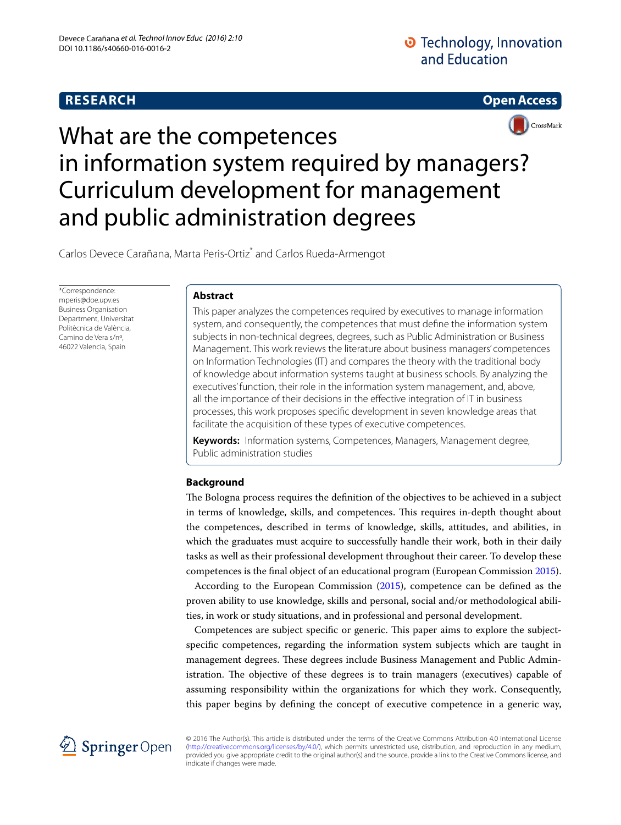# **RESEARCH**



# CrossMark What are the competences in information system required by managers? Curriculum development for management and public administration degrees

Carlos Devece Carañana, Marta Peris‑Ortiz\* and Carlos Rueda‑Armengot

\*Correspondence: mperis@doe.upv.es Business Organisation Department, Universitat Politècnica de València, Camino de Vera s/nº, 46022 Valencia, Spain

# **Abstract**

This paper analyzes the competences required by executives to manage information system, and consequently, the competences that must define the information system subjects in non-technical degrees, degrees, such as Public Administration or Business Management. This work reviews the literature about business managers' competences on Information Technologies (IT) and compares the theory with the traditional body of knowledge about information systems taught at business schools. By analyzing the executives' function, their role in the information system management, and, above, all the importance of their decisions in the effective integration of IT in business processes, this work proposes specific development in seven knowledge areas that facilitate the acquisition of these types of executive competences.

**Keywords:** Information systems, Competences, Managers, Management degree, Public administration studies

### **Background**

The Bologna process requires the definition of the objectives to be achieved in a subject in terms of knowledge, skills, and competences. This requires in-depth thought about the competences, described in terms of knowledge, skills, attitudes, and abilities, in which the graduates must acquire to successfully handle their work, both in their daily tasks as well as their professional development throughout their career. To develop these competences is the final object of an educational program (European Commission [2015](#page-7-0)).

According to the European Commission [\(2015](#page-7-0)), competence can be defined as the proven ability to use knowledge, skills and personal, social and/or methodological abilities, in work or study situations, and in professional and personal development.

Competences are subject specific or generic. This paper aims to explore the subjectspecific competences, regarding the information system subjects which are taught in management degrees. These degrees include Business Management and Public Administration. The objective of these degrees is to train managers (executives) capable of assuming responsibility within the organizations for which they work. Consequently, this paper begins by defining the concept of executive competence in a generic way,



© 2016 The Author(s). This article is distributed under the terms of the Creative Commons Attribution 4.0 International License [\(http://creativecommons.org/licenses/by/4.0/](http://creativecommons.org/licenses/by/4.0/)), which permits unrestricted use, distribution, and reproduction in any medium, provided you give appropriate credit to the original author(s) and the source, provide a link to the Creative Commons license, and indicate if changes were made.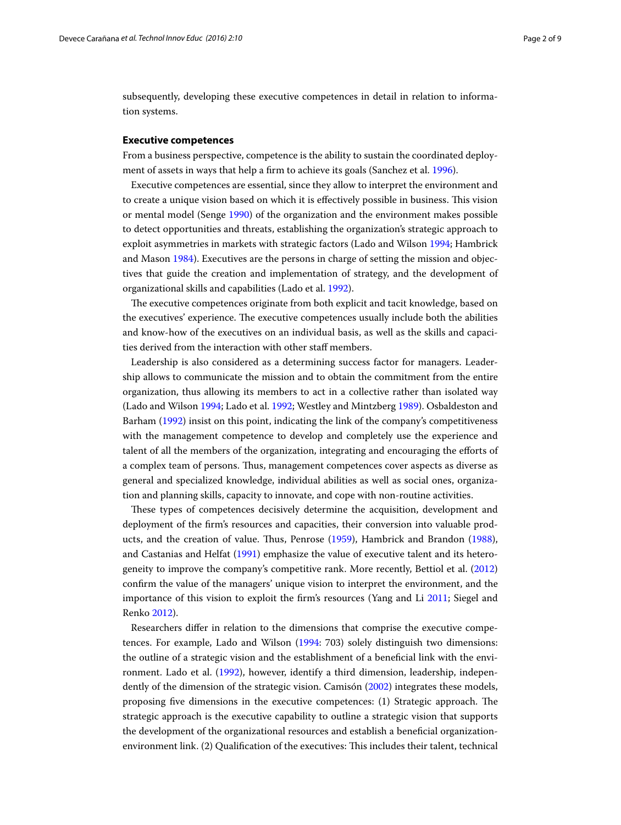subsequently, developing these executive competences in detail in relation to information systems.

#### **Executive competences**

From a business perspective, competence is the ability to sustain the coordinated deployment of assets in ways that help a firm to achieve its goals (Sanchez et al. [1996](#page-8-0)).

Executive competences are essential, since they allow to interpret the environment and to create a unique vision based on which it is effectively possible in business. This vision or mental model (Senge [1990](#page-8-1)) of the organization and the environment makes possible to detect opportunities and threats, establishing the organization's strategic approach to exploit asymmetries in markets with strategic factors (Lado and Wilson [1994;](#page-8-2) Hambrick and Mason [1984\)](#page-8-3). Executives are the persons in charge of setting the mission and objectives that guide the creation and implementation of strategy, and the development of organizational skills and capabilities (Lado et al. [1992](#page-8-4)).

The executive competences originate from both explicit and tacit knowledge, based on the executives' experience. The executive competences usually include both the abilities and know-how of the executives on an individual basis, as well as the skills and capacities derived from the interaction with other staff members.

Leadership is also considered as a determining success factor for managers. Leadership allows to communicate the mission and to obtain the commitment from the entire organization, thus allowing its members to act in a collective rather than isolated way (Lado and Wilson [1994](#page-8-2); Lado et al. [1992](#page-8-4); Westley and Mintzberg [1989\)](#page-8-5). Osbaldeston and Barham ([1992](#page-8-6)) insist on this point, indicating the link of the company's competitiveness with the management competence to develop and completely use the experience and talent of all the members of the organization, integrating and encouraging the efforts of a complex team of persons. Thus, management competences cover aspects as diverse as general and specialized knowledge, individual abilities as well as social ones, organization and planning skills, capacity to innovate, and cope with non-routine activities.

These types of competences decisively determine the acquisition, development and deployment of the firm's resources and capacities, their conversion into valuable products, and the creation of value. Thus, Penrose ([1959\)](#page-8-7), Hambrick and Brandon ([1988](#page-7-1)), and Castanias and Helfat [\(1991\)](#page-7-2) emphasize the value of executive talent and its heterogeneity to improve the company's competitive rank. More recently, Bettiol et al. ([2012](#page-7-3)) confirm the value of the managers' unique vision to interpret the environment, and the importance of this vision to exploit the firm's resources (Yang and Li [2011;](#page-8-8) Siegel and Renko [2012\)](#page-8-9).

Researchers differ in relation to the dimensions that comprise the executive competences. For example, Lado and Wilson [\(1994](#page-8-2): 703) solely distinguish two dimensions: the outline of a strategic vision and the establishment of a beneficial link with the environment. Lado et al. [\(1992\)](#page-8-4), however, identify a third dimension, leadership, independently of the dimension of the strategic vision. Camisón [\(2002\)](#page-7-4) integrates these models, proposing five dimensions in the executive competences: (1) Strategic approach. The strategic approach is the executive capability to outline a strategic vision that supports the development of the organizational resources and establish a beneficial organizationenvironment link. (2) Qualification of the executives: This includes their talent, technical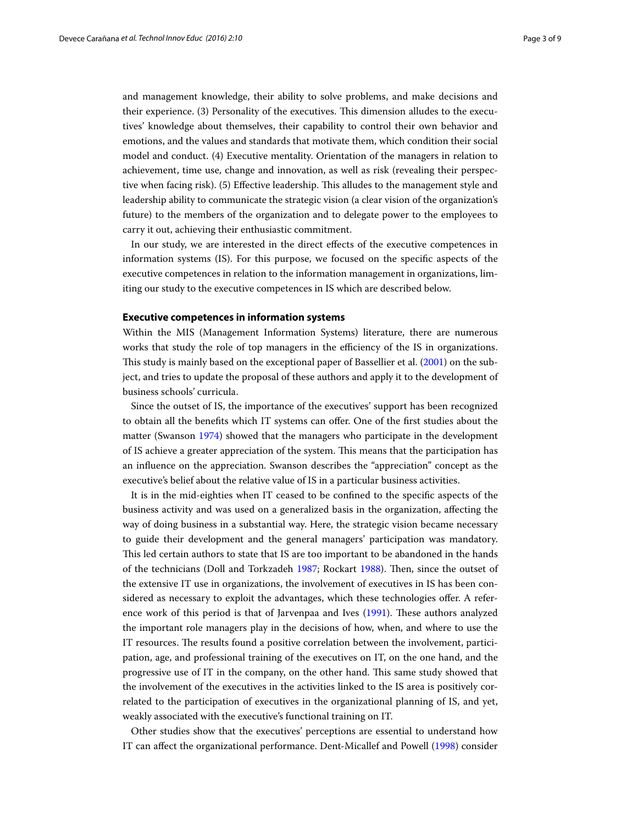and management knowledge, their ability to solve problems, and make decisions and their experience. (3) Personality of the executives. This dimension alludes to the executives' knowledge about themselves, their capability to control their own behavior and emotions, and the values and standards that motivate them, which condition their social model and conduct. (4) Executive mentality. Orientation of the managers in relation to achievement, time use, change and innovation, as well as risk (revealing their perspective when facing risk). (5) Effective leadership. This alludes to the management style and leadership ability to communicate the strategic vision (a clear vision of the organization's future) to the members of the organization and to delegate power to the employees to carry it out, achieving their enthusiastic commitment.

In our study, we are interested in the direct effects of the executive competences in information systems (IS). For this purpose, we focused on the specific aspects of the executive competences in relation to the information management in organizations, limiting our study to the executive competences in IS which are described below.

#### **Executive competences in information systems**

Within the MIS (Management Information Systems) literature, there are numerous works that study the role of top managers in the efficiency of the IS in organizations. This study is mainly based on the exceptional paper of Bassellier et al. [\(2001\)](#page-7-5) on the subject, and tries to update the proposal of these authors and apply it to the development of business schools' curricula.

Since the outset of IS, the importance of the executives' support has been recognized to obtain all the benefits which IT systems can offer. One of the first studies about the matter (Swanson [1974](#page-8-10)) showed that the managers who participate in the development of IS achieve a greater appreciation of the system. This means that the participation has an influence on the appreciation. Swanson describes the "appreciation" concept as the executive's belief about the relative value of IS in a particular business activities.

It is in the mid-eighties when IT ceased to be confined to the specific aspects of the business activity and was used on a generalized basis in the organization, affecting the way of doing business in a substantial way. Here, the strategic vision became necessary to guide their development and the general managers' participation was mandatory. This led certain authors to state that IS are too important to be abandoned in the hands of the technicians (Doll and Torkzadeh [1987](#page-7-6); Rockart [1988](#page-8-11)). Then, since the outset of the extensive IT use in organizations, the involvement of executives in IS has been considered as necessary to exploit the advantages, which these technologies offer. A reference work of this period is that of Jarvenpaa and Ives [\(1991](#page-8-12)). These authors analyzed the important role managers play in the decisions of how, when, and where to use the IT resources. The results found a positive correlation between the involvement, participation, age, and professional training of the executives on IT, on the one hand, and the progressive use of IT in the company, on the other hand. This same study showed that the involvement of the executives in the activities linked to the IS area is positively correlated to the participation of executives in the organizational planning of IS, and yet, weakly associated with the executive's functional training on IT.

Other studies show that the executives' perceptions are essential to understand how IT can affect the organizational performance. Dent-Micallef and Powell [\(1998\)](#page-7-7) consider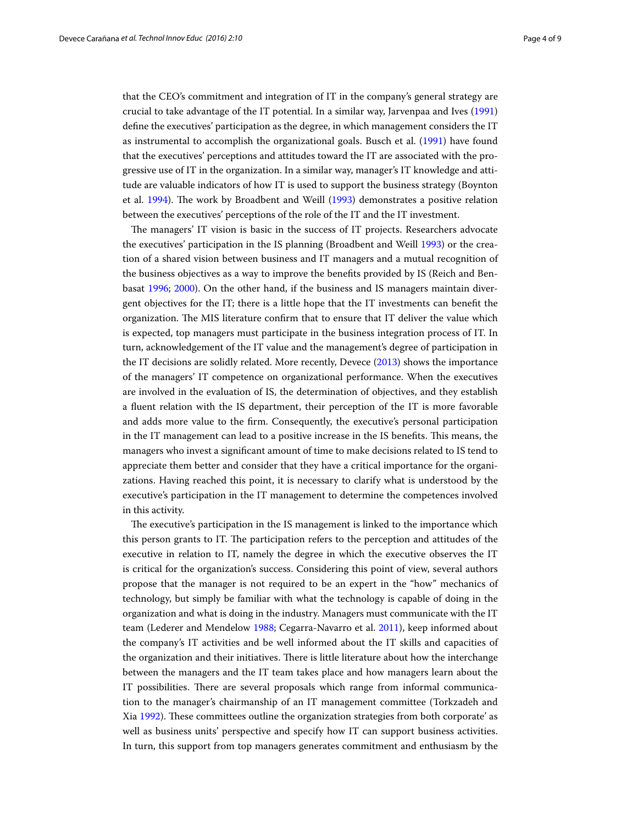that the CEO's commitment and integration of IT in the company's general strategy are crucial to take advantage of the IT potential. In a similar way, Jarvenpaa and Ives ([1991](#page-8-12)) define the executives' participation as the degree, in which management considers the IT as instrumental to accomplish the organizational goals. Busch et al. [\(1991](#page-7-8)) have found that the executives' perceptions and attitudes toward the IT are associated with the progressive use of IT in the organization. In a similar way, manager's IT knowledge and attitude are valuable indicators of how IT is used to support the business strategy (Boynton et al. [1994\)](#page-7-9). The work by Broadbent and Weill [\(1993\)](#page-7-10) demonstrates a positive relation between the executives' perceptions of the role of the IT and the IT investment.

The managers' IT vision is basic in the success of IT projects. Researchers advocate the executives' participation in the IS planning (Broadbent and Weill [1993](#page-7-10)) or the creation of a shared vision between business and IT managers and a mutual recognition of the business objectives as a way to improve the benefits provided by IS (Reich and Benbasat [1996;](#page-8-13) [2000\)](#page-8-14). On the other hand, if the business and IS managers maintain divergent objectives for the IT; there is a little hope that the IT investments can benefit the organization. The MIS literature confirm that to ensure that IT deliver the value which is expected, top managers must participate in the business integration process of IT. In turn, acknowledgement of the IT value and the management's degree of participation in the IT decisions are solidly related. More recently, Devece ([2013](#page-7-11)) shows the importance of the managers' IT competence on organizational performance. When the executives are involved in the evaluation of IS, the determination of objectives, and they establish a fluent relation with the IS department, their perception of the IT is more favorable and adds more value to the firm. Consequently, the executive's personal participation in the IT management can lead to a positive increase in the IS benefits. This means, the managers who invest a significant amount of time to make decisions related to IS tend to appreciate them better and consider that they have a critical importance for the organizations. Having reached this point, it is necessary to clarify what is understood by the executive's participation in the IT management to determine the competences involved in this activity.

The executive's participation in the IS management is linked to the importance which this person grants to IT. The participation refers to the perception and attitudes of the executive in relation to IT, namely the degree in which the executive observes the IT is critical for the organization's success. Considering this point of view, several authors propose that the manager is not required to be an expert in the "how" mechanics of technology, but simply be familiar with what the technology is capable of doing in the organization and what is doing in the industry. Managers must communicate with the IT team (Lederer and Mendelow [1988;](#page-8-15) Cegarra-Navarro et al. [2011\)](#page-7-12), keep informed about the company's IT activities and be well informed about the IT skills and capacities of the organization and their initiatives. There is little literature about how the interchange between the managers and the IT team takes place and how managers learn about the IT possibilities. There are several proposals which range from informal communication to the manager's chairmanship of an IT management committee (Torkzadeh and Xia [1992\)](#page-8-16). These committees outline the organization strategies from both corporate' as well as business units' perspective and specify how IT can support business activities. In turn, this support from top managers generates commitment and enthusiasm by the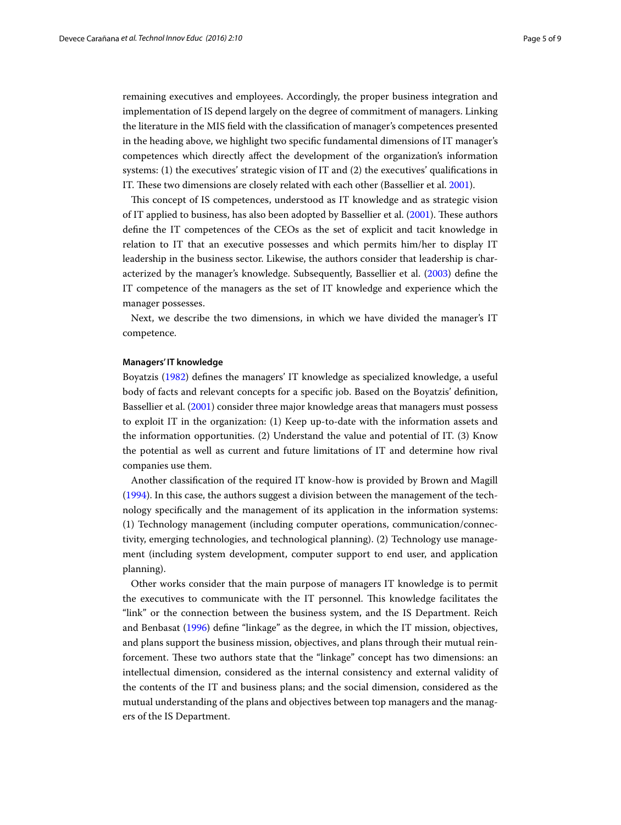remaining executives and employees. Accordingly, the proper business integration and implementation of IS depend largely on the degree of commitment of managers. Linking the literature in the MIS field with the classification of manager's competences presented in the heading above, we highlight two specific fundamental dimensions of IT manager's competences which directly affect the development of the organization's information systems: (1) the executives' strategic vision of IT and (2) the executives' qualifications in IT. These two dimensions are closely related with each other (Bassellier et al. [2001](#page-7-5)).

This concept of IS competences, understood as IT knowledge and as strategic vision of IT applied to business, has also been adopted by Bassellier et al. [\(2001\)](#page-7-5). These authors define the IT competences of the CEOs as the set of explicit and tacit knowledge in relation to IT that an executive possesses and which permits him/her to display IT leadership in the business sector. Likewise, the authors consider that leadership is characterized by the manager's knowledge. Subsequently, Bassellier et al. [\(2003\)](#page-7-13) define the IT competence of the managers as the set of IT knowledge and experience which the manager possesses.

Next, we describe the two dimensions, in which we have divided the manager's IT competence.

#### **Managers' IT knowledge**

Boyatzis [\(1982\)](#page-7-14) defines the managers' IT knowledge as specialized knowledge, a useful body of facts and relevant concepts for a specific job. Based on the Boyatzis' definition, Bassellier et al. [\(2001\)](#page-7-5) consider three major knowledge areas that managers must possess to exploit IT in the organization: (1) Keep up-to-date with the information assets and the information opportunities. (2) Understand the value and potential of IT. (3) Know the potential as well as current and future limitations of IT and determine how rival companies use them.

Another classification of the required IT know-how is provided by Brown and Magill ([1994\)](#page-7-15). In this case, the authors suggest a division between the management of the technology specifically and the management of its application in the information systems: (1) Technology management (including computer operations, communication/connectivity, emerging technologies, and technological planning). (2) Technology use management (including system development, computer support to end user, and application planning).

Other works consider that the main purpose of managers IT knowledge is to permit the executives to communicate with the IT personnel. This knowledge facilitates the "link" or the connection between the business system, and the IS Department. Reich and Benbasat ([1996](#page-8-13)) define "linkage" as the degree, in which the IT mission, objectives, and plans support the business mission, objectives, and plans through their mutual reinforcement. These two authors state that the "linkage" concept has two dimensions: an intellectual dimension, considered as the internal consistency and external validity of the contents of the IT and business plans; and the social dimension, considered as the mutual understanding of the plans and objectives between top managers and the managers of the IS Department.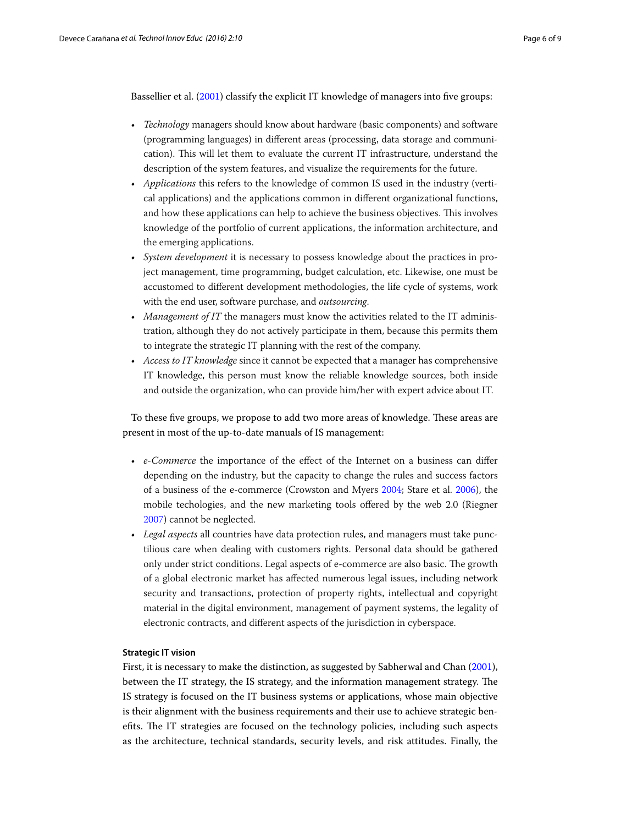Bassellier et al. [\(2001](#page-7-5)) classify the explicit IT knowledge of managers into five groups:

- •• *Technology* managers should know about hardware (basic components) and software (programming languages) in different areas (processing, data storage and communication). This will let them to evaluate the current IT infrastructure, understand the description of the system features, and visualize the requirements for the future.
- •• *Applications* this refers to the knowledge of common IS used in the industry (vertical applications) and the applications common in different organizational functions, and how these applications can help to achieve the business objectives. This involves knowledge of the portfolio of current applications, the information architecture, and the emerging applications.
- •• *System development* it is necessary to possess knowledge about the practices in project management, time programming, budget calculation, etc. Likewise, one must be accustomed to different development methodologies, the life cycle of systems, work with the end user, software purchase, and *outsourcing*.
- *Management of IT* the managers must know the activities related to the IT administration, although they do not actively participate in them, because this permits them to integrate the strategic IT planning with the rest of the company.
- •• *Access to IT knowledge* since it cannot be expected that a manager has comprehensive IT knowledge, this person must know the reliable knowledge sources, both inside and outside the organization, who can provide him/her with expert advice about IT.

To these five groups, we propose to add two more areas of knowledge. These areas are present in most of the up-to-date manuals of IS management:

- •• *e*-*Commerce* the importance of the effect of the Internet on a business can differ depending on the industry, but the capacity to change the rules and success factors of a business of the e-commerce (Crowston and Myers [2004](#page-7-16); Stare et al. [2006](#page-8-17)), the mobile techologies, and the new marketing tools offered by the web 2.0 (Riegner [2007\)](#page-8-18) cannot be neglected.
- •• *Legal aspects* all countries have data protection rules, and managers must take punctilious care when dealing with customers rights. Personal data should be gathered only under strict conditions. Legal aspects of e-commerce are also basic. The growth of a global electronic market has affected numerous legal issues, including network security and transactions, protection of property rights, intellectual and copyright material in the digital environment, management of payment systems, the legality of electronic contracts, and different aspects of the jurisdiction in cyberspace.

#### **Strategic IT vision**

First, it is necessary to make the distinction, as suggested by Sabherwal and Chan ([2001](#page-8-19)), between the IT strategy, the IS strategy, and the information management strategy. The IS strategy is focused on the IT business systems or applications, whose main objective is their alignment with the business requirements and their use to achieve strategic benefits. The IT strategies are focused on the technology policies, including such aspects as the architecture, technical standards, security levels, and risk attitudes. Finally, the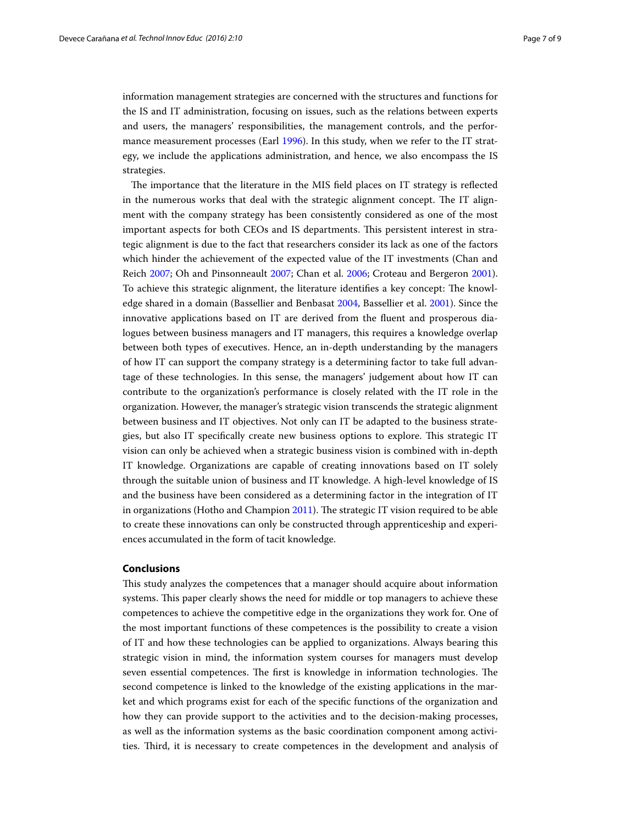information management strategies are concerned with the structures and functions for the IS and IT administration, focusing on issues, such as the relations between experts and users, the managers' responsibilities, the management controls, and the performance measurement processes (Earl [1996](#page-7-17)). In this study, when we refer to the IT strategy, we include the applications administration, and hence, we also encompass the IS strategies.

The importance that the literature in the MIS field places on IT strategy is reflected in the numerous works that deal with the strategic alignment concept. The IT alignment with the company strategy has been consistently considered as one of the most important aspects for both CEOs and IS departments. This persistent interest in strategic alignment is due to the fact that researchers consider its lack as one of the factors which hinder the achievement of the expected value of the IT investments (Chan and Reich [2007](#page-7-18); Oh and Pinsonneault [2007](#page-8-20); Chan et al. [2006](#page-7-19); Croteau and Bergeron [2001](#page-7-20)). To achieve this strategic alignment, the literature identifies a key concept: The knowledge shared in a domain (Bassellier and Benbasat [2004](#page-7-21), Bassellier et al. [2001\)](#page-7-5). Since the innovative applications based on IT are derived from the fluent and prosperous dialogues between business managers and IT managers, this requires a knowledge overlap between both types of executives. Hence, an in-depth understanding by the managers of how IT can support the company strategy is a determining factor to take full advantage of these technologies. In this sense, the managers' judgement about how IT can contribute to the organization's performance is closely related with the IT role in the organization. However, the manager's strategic vision transcends the strategic alignment between business and IT objectives. Not only can IT be adapted to the business strategies, but also IT specifically create new business options to explore. This strategic IT vision can only be achieved when a strategic business vision is combined with in-depth IT knowledge. Organizations are capable of creating innovations based on IT solely through the suitable union of business and IT knowledge. A high-level knowledge of IS and the business have been considered as a determining factor in the integration of IT in organizations (Hotho and Champion [2011](#page-8-21)). The strategic IT vision required to be able to create these innovations can only be constructed through apprenticeship and experiences accumulated in the form of tacit knowledge.

#### **Conclusions**

This study analyzes the competences that a manager should acquire about information systems. This paper clearly shows the need for middle or top managers to achieve these competences to achieve the competitive edge in the organizations they work for. One of the most important functions of these competences is the possibility to create a vision of IT and how these technologies can be applied to organizations. Always bearing this strategic vision in mind, the information system courses for managers must develop seven essential competences. The first is knowledge in information technologies. The second competence is linked to the knowledge of the existing applications in the market and which programs exist for each of the specific functions of the organization and how they can provide support to the activities and to the decision-making processes, as well as the information systems as the basic coordination component among activities. Third, it is necessary to create competences in the development and analysis of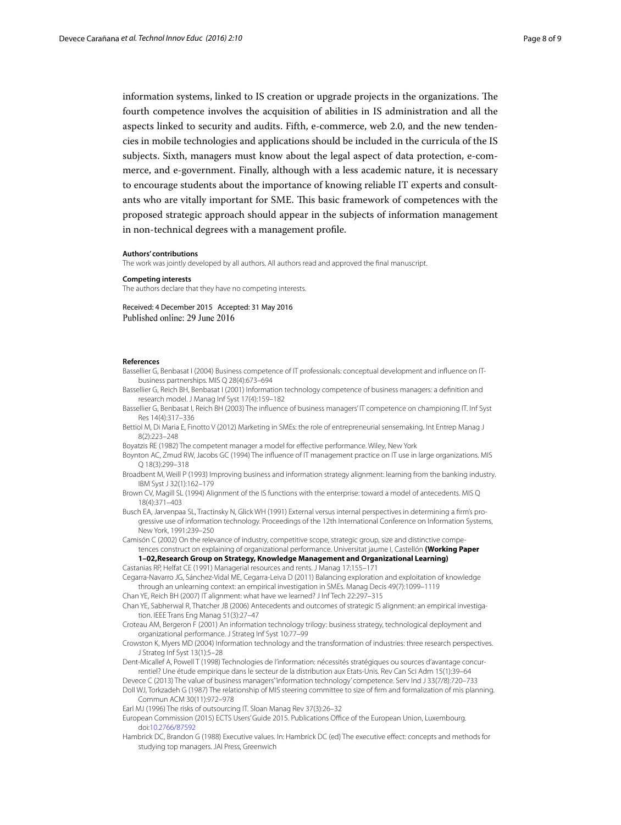information systems, linked to IS creation or upgrade projects in the organizations. The fourth competence involves the acquisition of abilities in IS administration and all the aspects linked to security and audits. Fifth, e-commerce, web 2.0, and the new tendencies in mobile technologies and applications should be included in the curricula of the IS subjects. Sixth, managers must know about the legal aspect of data protection, e-commerce, and e-government. Finally, although with a less academic nature, it is necessary to encourage students about the importance of knowing reliable IT experts and consultants who are vitally important for SME. This basic framework of competences with the proposed strategic approach should appear in the subjects of information management in non-technical degrees with a management profile.

#### **Authors' contributions**

The work was jointly developed by all authors. All authors read and approved the final manuscript.

#### **Competing interests**

The authors declare that they have no competing interests.

Received: 4 December 2015 Accepted: 31 May 2016 Published online: 29 June 2016

#### **References**

<span id="page-7-21"></span>Bassellier G, Benbasat I (2004) Business competence of IT professionals: conceptual development and influence on ITbusiness partnerships. MIS Q 28(4):673–694

- <span id="page-7-5"></span>Bassellier G, Reich BH, Benbasat I (2001) Information technology competence of business managers: a definition and research model. J Manag Inf Syst 17(4):159–182
- <span id="page-7-13"></span>Bassellier G, Benbasat I, Reich BH (2003) The influence of business managers' IT competence on championing IT. Inf Syst Res 14(4):317–336
- <span id="page-7-3"></span>Bettiol M, Di Maria E, Finotto V (2012) Marketing in SMEs: the role of entrepreneurial sensemaking. Int Entrep Manag J 8(2):223–248
- <span id="page-7-14"></span>Boyatzis RE (1982) The competent manager a model for effective performance. Wiley, New York
- <span id="page-7-9"></span>Boynton AC, Zmud RW, Jacobs GC (1994) The influence of IT management practice on IT use in large organizations. MIS Q 18(3):299–318
- <span id="page-7-10"></span>Broadbent M, Weill P (1993) Improving business and information strategy alignment: learning from the banking industry. IBM Syst J 32(1):162–179
- <span id="page-7-15"></span>Brown CV, Magill SL (1994) Alignment of the IS functions with the enterprise: toward a model of antecedents. MIS Q 18(4):371–403
- <span id="page-7-8"></span>Busch EA, Jarvenpaa SL, Tractinsky N, Glick WH (1991) External versus internal perspectives in determining a firm's progressive use of information technology. Proceedings of the 12th International Conference on Information Systems, New York, 1991:239–250

<span id="page-7-4"></span>Camisón C (2002) On the relevance of industry, competitive scope, strategic group, size and distinctive competences construct on explaining of organizational performance. Universitat jaume I, Castellón **(Working Paper** 

#### **1–02,Research Group on Strategy, Knowledge Management and Organizational Learning)**

<span id="page-7-2"></span>Castanias RP, Helfat CE (1991) Managerial resources and rents. J Manag 17:155–171

- <span id="page-7-12"></span>Cegarra-Navarro JG, Sánchez-Vidal ME, Cegarra-Leiva D (2011) Balancing exploration and exploitation of knowledge through an unlearning context: an empirical investigation in SMEs. Manag Decis 49(7):1099–1119
- <span id="page-7-18"></span>Chan YE, Reich BH (2007) IT alignment: what have we learned? J Inf Tech 22:297–315

<span id="page-7-19"></span>Chan YE, Sabherwal R, Thatcher JB (2006) Antecedents and outcomes of strategic IS alignment: an empirical investiga‑ tion. IEEE Trans Eng Manag 51(3):27–47

<span id="page-7-20"></span>Croteau AM, Bergeron F (2001) An information technology trilogy: business strategy, technological deployment and organizational performance. J Strateg Inf Syst 10:77–99

<span id="page-7-16"></span>Crowston K, Myers MD (2004) Information technology and the transformation of industries: three research perspectives. J Strateg Inf Syst 13(1):5–28

<span id="page-7-7"></span>Dent-Micallef A, Powell T (1998) Technologies de l'information: nécessités stratégiques ou sources d'avantage concurrentiel? Une étude empirique dans le secteur de la distribution aux Etats-Unis. Rev Can Sci Adm 15(1):39–64

<span id="page-7-11"></span><span id="page-7-6"></span>Devece C (2013) The value of business managers' 'information technology' competence. Serv Ind J 33(7/8):720–733 Doll WJ, Torkzadeh G (1987) The relationship of MIS steering committee to size of firm and formalization of mis planning.

Commun ACM 30(11):972–978

<span id="page-7-17"></span>Earl MJ (1996) The risks of outsourcing IT. Sloan Manag Rev 37(3):26–32

<span id="page-7-0"></span>European Commission (2015) ECTS Users' Guide 2015. Publications Office of the European Union, Luxembourg. doi:[10.2766/87592](http://dx.doi.org/10.2766/87592)

<span id="page-7-1"></span>Hambrick DC, Brandon G (1988) Executive values. In: Hambrick DC (ed) The executive effect: concepts and methods for studying top managers. JAI Press, Greenwich